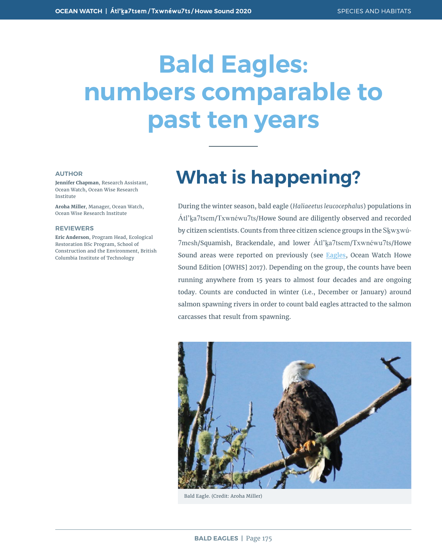# **Bald Eagles: numbers comparable to past ten years**

#### **AUTHOR**

**Jennifer Chapman**, Research Assistant, Ocean Watch, Ocean Wise Research Institute

**Aroha Miller**, Manager, Ocean Watch, Ocean Wise Research Institute

#### **REVIEWERS**

**Eric Anderson**, Program Head, Ecological Restoration BSc Program, School of Construction and the Environment, British Columbia Institute of Technology

## **What is happening?**

During the winter season, bald eagle (*Haliaeetus leucocephalus*) populations in Átl'ḵa7tsem/Txwnéwu7ts/Howe Sound are diligently observed and recorded by citizen scientists. Counts from three citizen science groups in the Skwxwú-7mesh/Squamish, Brackendale, and lower Atl'ka7tsem/Txwnéwu7ts/Howe Sound areas were reported on previously (see [Eagles,](https://oceanwatch.ca/howesound/wp-content/uploads/sites/2/2016/12/OceanWatch-HoweSoundReport-BaldEagles.pdf) Ocean Watch Howe Sound Edition [OWHS] 2017). Depending on the group, the counts have been running anywhere from 15 years to almost four decades and are ongoing today. Counts are conducted in winter (i.e., December or January) around salmon spawning rivers in order to count bald eagles attracted to the salmon carcasses that result from spawning.



Bald Eagle. (Credit: Aroha Miller)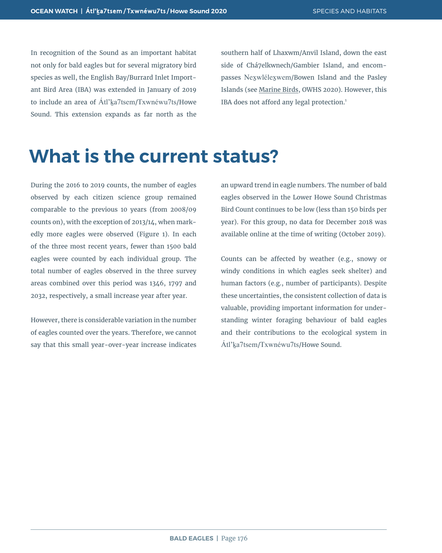In recognition of the Sound as an important habitat not only for bald eagles but for several migratory bird species as well, the English Bay/Burrard Inlet Important Bird Area (IBA) was extended in January of 2019 to include an area of Átl'ka7tsem/Txwnéwu7ts/Howe Sound. This extension expands as far north as the

southern half of Lhaxwm/Anvil Island, down the east side of Chá7elkwnech/Gambier Island, and encompasses Nex̱wlélex̱wem/Bowen Island and the Pasley Islands (see Marine Birds, OWHS 2020). However, this IBA does not afford any legal protection.<sup>1</sup>

#### **What is the current status?**

During the 2016 to 2019 counts, the number of eagles observed by each citizen science group remained comparable to the previous 10 years (from 2008/09 counts on), with the exception of 2013/14, when markedly more eagles were observed (Figure 1). In each of the three most recent years, fewer than 1500 bald eagles were counted by each individual group. The total number of eagles observed in the three survey areas combined over this period was 1346, 1797 and 2032, respectively, a small increase year after year.

However, there is considerable variation in the number of eagles counted over the years. Therefore, we cannot say that this small year-over-year increase indicates

an upward trend in eagle numbers. The number of bald eagles observed in the Lower Howe Sound Christmas Bird Count continues to be low (less than 150 birds per year). For this group, no data for December 2018 was available online at the time of writing (October 2019).

Counts can be affected by weather (e.g., snowy or windy conditions in which eagles seek shelter) and human factors (e.g., number of participants). Despite these uncertainties, the consistent collection of data is valuable, providing important information for understanding winter foraging behaviour of bald eagles and their contributions to the ecological system in Átl'ḵa7tsem/Txwnéwu7ts/Howe Sound.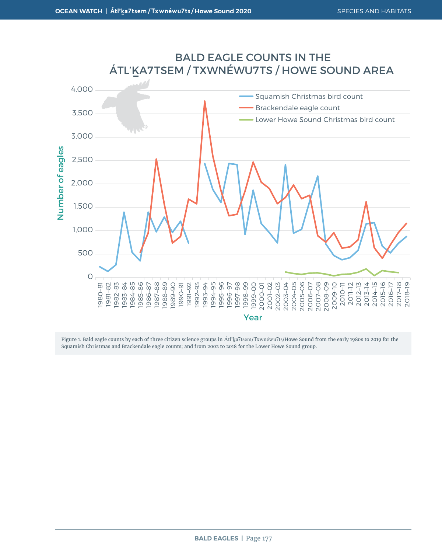

#### BALD EAGLE COUNTS IN THE ÁTL'KA7TSEM / TXWNÉWU7TS / HOWE SOUND AREA

Figure 1. Bald eagle counts by each of three citizen science groups in Átl'ka7tsem/Txwnéwu7ts/Howe Sound from the early 1980s to 2019 for the Squamish Christmas and Brackendale eagle counts; and from 2002 to 2018 for the Lower Howe Sound group.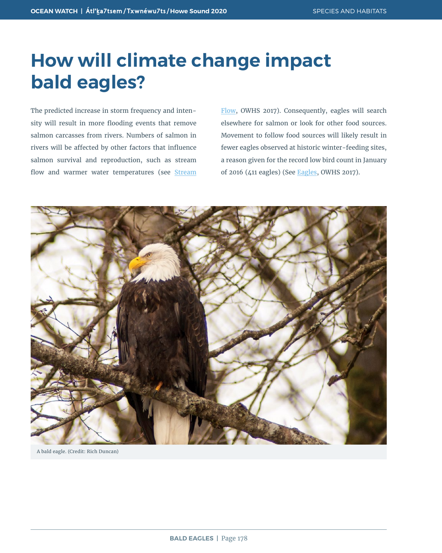### **How will climate change impact bald eagles?**

The predicted increase in storm frequency and intensity will result in more flooding events that remove salmon carcasses from rivers. Numbers of salmon in rivers will be affected by other factors that influence salmon survival and reproduction, such as stream flow and warmer water temperatures (see [Stream](https://oceanwatch.ca/howesound/wp-content/uploads/sites/2/2016/12/OceanWatch-HoweSoundReport-Streamflows.pdf) [Flow](https://oceanwatch.ca/howesound/wp-content/uploads/sites/2/2016/12/OceanWatch-HoweSoundReport-Streamflows.pdf), OWHS 2017). Consequently, eagles will search elsewhere for salmon or look for other food sources. Movement to follow food sources will likely result in fewer eagles observed at historic winter-feeding sites, a reason given for the record low bird count in January of 2016 (411 eagles) (See [Eagles](https://oceanwatch.ca/howesound/wp-content/uploads/sites/2/2016/12/OceanWatch-HoweSoundReport-BaldEagles.pdf), OWHS 2017).



A bald eagle. (Credit: Rich Duncan)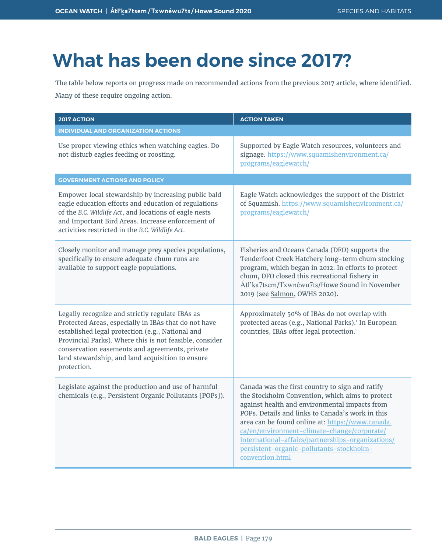## **What has been done since 2017?**

The table below reports on progress made on recommended actions from the previous 2017 article, where identified. Many of these require ongoing action.

| <b>2017 ACTION</b>                                                                                                                                                                                                                                                                                                                          | <b>ACTION TAKEN</b>                                                                                                                                                                                                                                                                                                                                                                                                            |
|---------------------------------------------------------------------------------------------------------------------------------------------------------------------------------------------------------------------------------------------------------------------------------------------------------------------------------------------|--------------------------------------------------------------------------------------------------------------------------------------------------------------------------------------------------------------------------------------------------------------------------------------------------------------------------------------------------------------------------------------------------------------------------------|
| <b>INDIVIDUAL AND ORGANIZATION ACTIONS</b>                                                                                                                                                                                                                                                                                                  |                                                                                                                                                                                                                                                                                                                                                                                                                                |
| Use proper viewing ethics when watching eagles. Do<br>not disturb eagles feeding or roosting.                                                                                                                                                                                                                                               | Supported by Eagle Watch resources, volunteers and<br>signage. https://www.squamishenvironment.ca/<br>programs/eaglewatch/                                                                                                                                                                                                                                                                                                     |
| <b>GOVERNMENT ACTIONS AND POLICY</b>                                                                                                                                                                                                                                                                                                        |                                                                                                                                                                                                                                                                                                                                                                                                                                |
| Empower local stewardship by increasing public bald<br>eagle education efforts and education of regulations<br>of the B.C. Wildlife Act, and locations of eagle nests<br>and Important Bird Areas. Increase enforcement of<br>activities restricted in the B.C. Wildlife Act.                                                               | Eagle Watch acknowledges the support of the District<br>of Squamish. https://www.squamishenvironment.ca/<br>programs/eaglewatch/                                                                                                                                                                                                                                                                                               |
| Closely monitor and manage prey species populations,<br>specifically to ensure adequate chum runs are<br>available to support eagle populations.                                                                                                                                                                                            | Fisheries and Oceans Canada (DFO) supports the<br>Tenderfoot Creek Hatchery long-term chum stocking<br>program, which began in 2012. In efforts to protect<br>chum, DFO closed this recreational fishery in<br>Átl'ka7tsem/Txwnéwu7ts/Howe Sound in November<br>2019 (see Salmon, OWHS 2020).                                                                                                                                  |
| Legally recognize and strictly regulate IBAs as<br>Protected Areas, especially in IBAs that do not have<br>established legal protection (e.g., National and<br>Provincial Parks). Where this is not feasible, consider<br>conservation easements and agreements, private<br>land stewardship, and land acquisition to ensure<br>protection. | Approximately 50% of IBAs do not overlap with<br>protected areas (e.g., National Parks). <sup>1</sup> In European<br>countries, IBAs offer legal protection. <sup>1</sup>                                                                                                                                                                                                                                                      |
| Legislate against the production and use of harmful<br>chemicals (e.g., Persistent Organic Pollutants [POPs]).                                                                                                                                                                                                                              | Canada was the first country to sign and ratify<br>the Stockholm Convention, which aims to protect<br>against health and environmental impacts from<br>POPs. Details and links to Canada's work in this<br>area can be found online at: https://www.canada.<br>ca/en/environment-climate-change/corporate/<br>international-affairs/partnerships-organizations/<br>persistent-organic-pollutants-stockholm-<br>convention.html |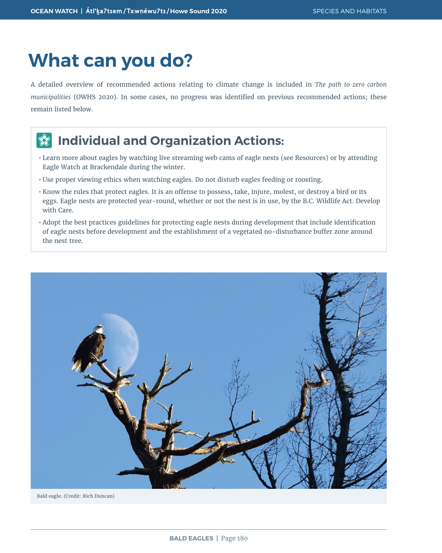### **What can you do?**

A detailed overview of recommended actions relating to climate change is included in *The path to zero carbon municipalities* (OWHS 2020). In some cases, no progress was identified on previous recommended actions; these remain listed below.

#### **Individual and Organization Actions:**  $\frac{d}{dx}$

- Learn more about eagles by watching live streaming web cams of eagle nests (see Resources) or by attending Eagle Watch at Brackendale during the winter.
- Use proper viewing ethics when watching eagles. Do not disturb eagles feeding or roosting.
- Know the rules that protect eagles. It is an offense to possess, take, injure, molest, or destroy a bird or its eggs. Eagle nests are protected year-round, whether or not the nest is in use, by the B.C. Wildlife Act. Develop with Care.
- Adopt the best practices guidelines for protecting eagle nests during development that include identification of eagle nests before development and the establishment of a vegetated no-disturbance buffer zone around the nest tree.



Bald eagle. (Credit: Rich Duncan)